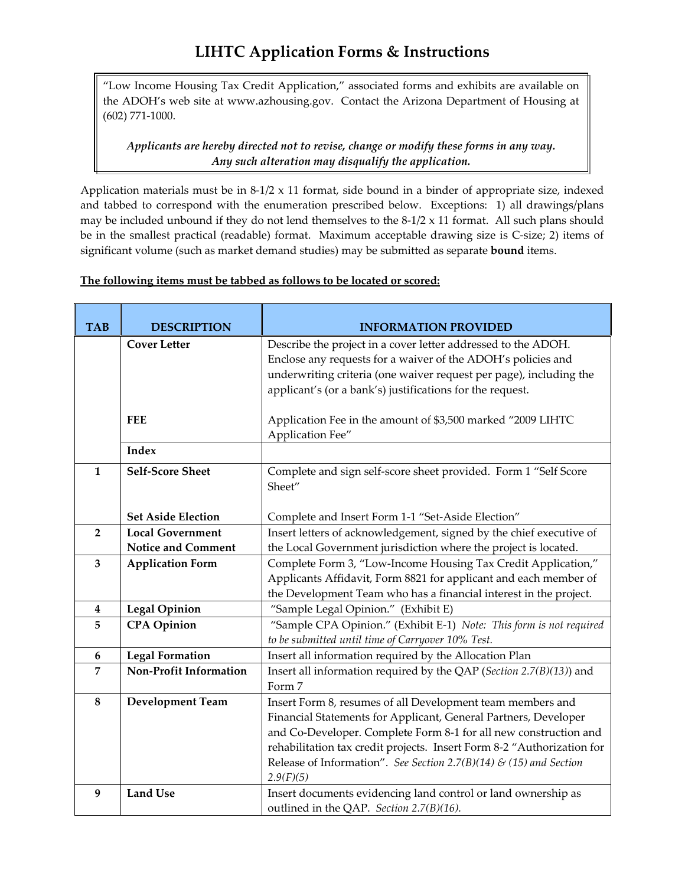## **LIHTC Application Forms & Instructions**

"Low Income Housing Tax Credit Application," associated forms and exhibits are available on the ADOH's web site at www.azhousing.gov. Contact the Arizona Department of Housing at (602) 771‐1000.

*Applicants are hereby directed not to revise, change or modify these forms in any way. Any such alteration may disqualify the application.*

Application materials must be in 8‐1/2 x 11 format, side bound in a binder of appropriate size, indexed and tabbed to correspond with the enumeration prescribed below. Exceptions: 1) all drawings/plans may be included unbound if they do not lend themselves to the 8-1/2 x 11 format. All such plans should be in the smallest practical (readable) format. Maximum acceptable drawing size is C‐size; 2) items of significant volume (such as market demand studies) may be submitted as separate **bound** items.

## **The following items must be tabbed as follows to be located or scored:**

| <b>TAB</b>     | <b>DESCRIPTION</b>        | <b>INFORMATION PROVIDED</b>                                                                                                                                                                         |
|----------------|---------------------------|-----------------------------------------------------------------------------------------------------------------------------------------------------------------------------------------------------|
|                | <b>Cover Letter</b>       | Describe the project in a cover letter addressed to the ADOH.<br>Enclose any requests for a waiver of the ADOH's policies and<br>underwriting criteria (one waiver request per page), including the |
|                |                           | applicant's (or a bank's) justifications for the request.                                                                                                                                           |
|                | <b>FEE</b>                | Application Fee in the amount of \$3,500 marked "2009 LIHTC<br>Application Fee"                                                                                                                     |
|                | <b>Index</b>              |                                                                                                                                                                                                     |
| $\mathbf{1}$   | <b>Self-Score Sheet</b>   | Complete and sign self-score sheet provided. Form 1 "Self Score<br>Sheet"                                                                                                                           |
|                | <b>Set Aside Election</b> | Complete and Insert Form 1-1 "Set-Aside Election"                                                                                                                                                   |
| $\mathbf{2}$   | <b>Local Government</b>   | Insert letters of acknowledgement, signed by the chief executive of                                                                                                                                 |
|                | <b>Notice and Comment</b> | the Local Government jurisdiction where the project is located.                                                                                                                                     |
| 3              | <b>Application Form</b>   | Complete Form 3, "Low-Income Housing Tax Credit Application,"                                                                                                                                       |
|                |                           | Applicants Affidavit, Form 8821 for applicant and each member of                                                                                                                                    |
|                |                           | the Development Team who has a financial interest in the project.                                                                                                                                   |
| 4              | <b>Legal Opinion</b>      | "Sample Legal Opinion." (Exhibit E)                                                                                                                                                                 |
| 5              | <b>CPA</b> Opinion        | "Sample CPA Opinion." (Exhibit E-1) Note: This form is not required<br>to be submitted until time of Carryover 10% Test.                                                                            |
| 6              | <b>Legal Formation</b>    | Insert all information required by the Allocation Plan                                                                                                                                              |
| $\overline{7}$ | Non-Profit Information    | Insert all information required by the QAP (Section 2.7(B)(13)) and<br>Form 7                                                                                                                       |
| 8              | <b>Development Team</b>   | Insert Form 8, resumes of all Development team members and                                                                                                                                          |
|                |                           | Financial Statements for Applicant, General Partners, Developer                                                                                                                                     |
|                |                           | and Co-Developer. Complete Form 8-1 for all new construction and                                                                                                                                    |
|                |                           | rehabilitation tax credit projects. Insert Form 8-2 "Authorization for                                                                                                                              |
|                |                           | Release of Information". See Section 2.7(B)(14) & (15) and Section                                                                                                                                  |
|                |                           | 2.9(F)(5)                                                                                                                                                                                           |
| 9              | <b>Land Use</b>           | Insert documents evidencing land control or land ownership as                                                                                                                                       |
|                |                           | outlined in the QAP. Section 2.7(B)(16).                                                                                                                                                            |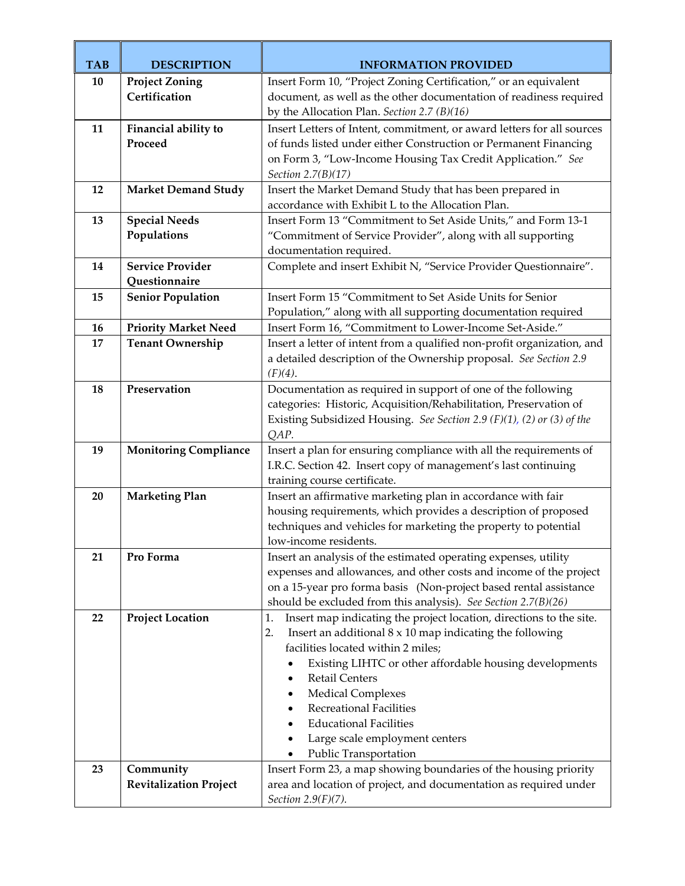| <b>TAB</b> | <b>DESCRIPTION</b>            | <b>INFORMATION PROVIDED</b>                                                                                                                        |
|------------|-------------------------------|----------------------------------------------------------------------------------------------------------------------------------------------------|
| 10         | <b>Project Zoning</b>         | Insert Form 10, "Project Zoning Certification," or an equivalent                                                                                   |
|            | Certification                 | document, as well as the other documentation of readiness required                                                                                 |
|            |                               | by the Allocation Plan. Section 2.7 (B)(16)                                                                                                        |
| 11         | Financial ability to          | Insert Letters of Intent, commitment, or award letters for all sources                                                                             |
|            | Proceed                       | of funds listed under either Construction or Permanent Financing                                                                                   |
|            |                               | on Form 3, "Low-Income Housing Tax Credit Application." See                                                                                        |
|            |                               | Section 2.7(B)(17)                                                                                                                                 |
| 12         | <b>Market Demand Study</b>    | Insert the Market Demand Study that has been prepared in                                                                                           |
|            |                               | accordance with Exhibit L to the Allocation Plan.                                                                                                  |
| 13         | <b>Special Needs</b>          | Insert Form 13 "Commitment to Set Aside Units," and Form 13-1                                                                                      |
|            | Populations                   | "Commitment of Service Provider", along with all supporting                                                                                        |
|            |                               | documentation required.                                                                                                                            |
| 14         | <b>Service Provider</b>       | Complete and insert Exhibit N, "Service Provider Questionnaire".                                                                                   |
|            | Questionnaire                 | Insert Form 15 "Commitment to Set Aside Units for Senior                                                                                           |
| 15         | <b>Senior Population</b>      |                                                                                                                                                    |
| 16         | <b>Priority Market Need</b>   | Population," along with all supporting documentation required<br>Insert Form 16, "Commitment to Lower-Income Set-Aside."                           |
| 17         | <b>Tenant Ownership</b>       | Insert a letter of intent from a qualified non-profit organization, and                                                                            |
|            |                               | a detailed description of the Ownership proposal. See Section 2.9                                                                                  |
|            |                               | $(F)(4)$ .                                                                                                                                         |
| 18         | Preservation                  | Documentation as required in support of one of the following                                                                                       |
|            |                               | categories: Historic, Acquisition/Rehabilitation, Preservation of                                                                                  |
|            |                               | Existing Subsidized Housing. See Section 2.9 (F)(1), (2) or (3) of the                                                                             |
|            |                               | QAP.                                                                                                                                               |
| 19         | <b>Monitoring Compliance</b>  | Insert a plan for ensuring compliance with all the requirements of                                                                                 |
|            |                               | I.R.C. Section 42. Insert copy of management's last continuing                                                                                     |
|            |                               | training course certificate.                                                                                                                       |
| 20         | <b>Marketing Plan</b>         | Insert an affirmative marketing plan in accordance with fair                                                                                       |
|            |                               | housing requirements, which provides a description of proposed                                                                                     |
|            |                               | techniques and vehicles for marketing the property to potential                                                                                    |
|            |                               | low-income residents.                                                                                                                              |
| 21         | Pro Forma                     | Insert an analysis of the estimated operating expenses, utility                                                                                    |
|            |                               | expenses and allowances, and other costs and income of the project                                                                                 |
|            |                               | on a 15-year pro forma basis (Non-project based rental assistance                                                                                  |
|            |                               | should be excluded from this analysis). See Section 2.7(B)(26)                                                                                     |
| 22         | <b>Project Location</b>       | Insert map indicating the project location, directions to the site.<br>1.<br>Insert an additional $8 \times 10$ map indicating the following<br>2. |
|            |                               | facilities located within 2 miles;                                                                                                                 |
|            |                               | Existing LIHTC or other affordable housing developments                                                                                            |
|            |                               | <b>Retail Centers</b>                                                                                                                              |
|            |                               | <b>Medical Complexes</b><br>٠                                                                                                                      |
|            |                               | <b>Recreational Facilities</b><br>$\bullet$                                                                                                        |
|            |                               | <b>Educational Facilities</b>                                                                                                                      |
|            |                               | Large scale employment centers<br>٠                                                                                                                |
|            |                               | Public Transportation                                                                                                                              |
| 23         | Community                     | Insert Form 23, a map showing boundaries of the housing priority                                                                                   |
|            | <b>Revitalization Project</b> | area and location of project, and documentation as required under                                                                                  |
|            |                               | Section $2.9(F)(7)$ .                                                                                                                              |